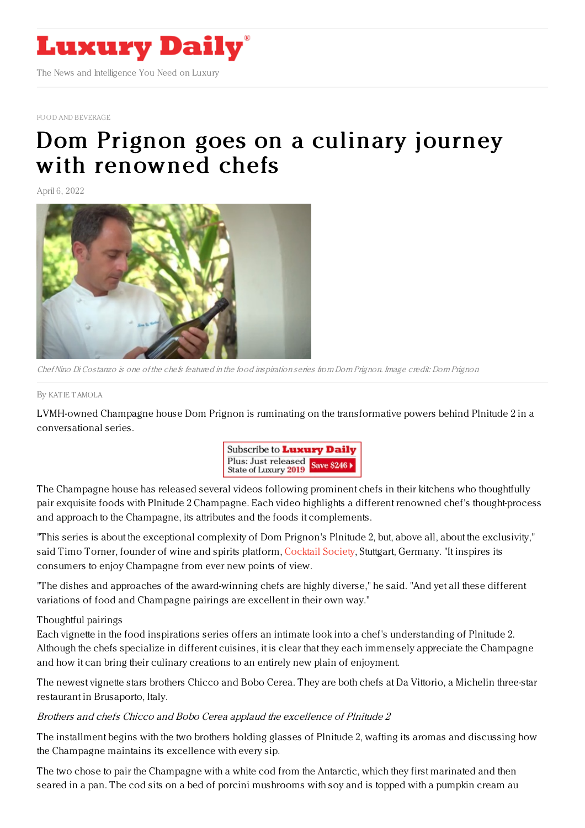

FOOD AND [BEVERAGE](https://www.luxurydaily.com/category/sectors/food-and-beverage/)

# Dom Prignon goes on a culinary journey with [renowned](https://www.luxurydaily.com/dom-perignon-plenitude-2-champagne-campaign/) chefs

April 6, 2022



ChefNino Di Costanzo is one of the chefs featured in the food inspiration series from Dom Prignon. Image credit: Dom Prignon

By KAT IE [TAMOLA](file:///author/katie-tamola)

LVMH-owned Champagne house Dom Prignon is ruminating on the transformative powers behind Plnitude 2 in a conversational series.



The Champagne house has released several videos following prominent chefs in their kitchens who thoughtfully pair exquisite foods with Plnitude 2 Champagne. Each video highlights a different renowned chef's thought-process and approach to the Champagne, its attributes and the foods it complements.

"This series is about the exceptional complexity of Dom Prignon's Plnitude 2, but, above all, about the exclusivity," said Timo Torner, founder of wine and spirits platform, [Cocktail](https://cocktail-society.com/) Society, Stuttgart, Germany. "It inspires its consumers to enjoy Champagne from ever new points of view.

"The dishes and approaches of the award-winning chefs are highly diverse," he said. "And yet all these different variations of food and Champagne pairings are excellent in their own way."

#### Thoughtful pairings

Each vignette in the food inspirations series offers an intimate look into a chef's understanding of Plnitude 2. Although the chefs specialize in different cuisines, it is clear that they each immensely appreciate the Champagne and how it can bring their culinary creations to an entirely new plain of enjoyment.

The newest vignette stars brothers Chicco and Bobo Cerea. They are both chefs at Da Vittorio, a Michelin three-star restaurant in Brusaporto, Italy.

#### Brothers and chefs Chicco and Bobo Cerea applaud the excellence of Plnitude 2

The installment begins with the two brothers holding glasses of Plnitude 2, wafting its aromas and discussing how the Champagne maintains its excellence with every sip.

The two chose to pair the Champagne with a white cod from the Antarctic, which they first marinated and then seared in a pan. The cod sits on a bed of porcini mushrooms with soy and is topped with a pumpkin cream au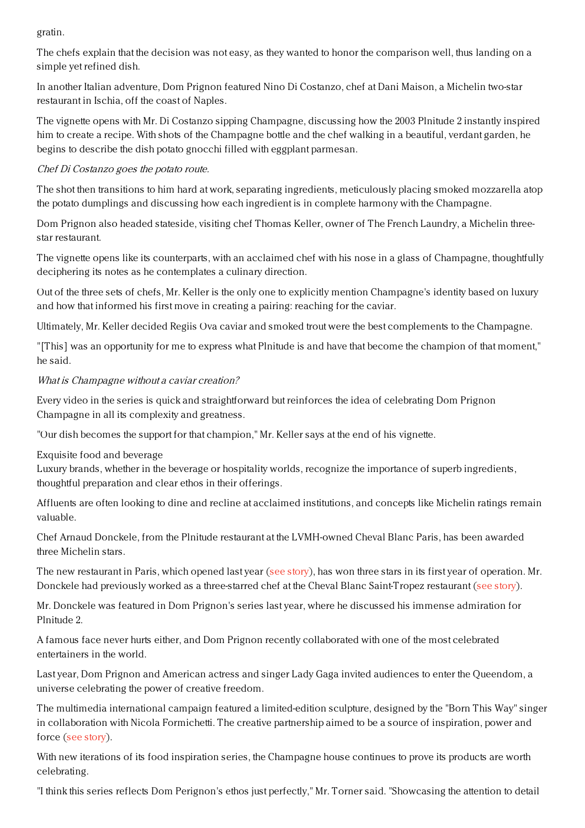gratin.

The chefs explain that the decision was not easy, as they wanted to honor the comparison well, thus landing on a simple yet refined dish.

In another Italian adventure, Dom Prignon featured Nino Di Costanzo, chef at Dani Maison, a Michelin two-star restaurant in Ischia, off the coast of Naples.

The vignette opens with Mr. Di Costanzo sipping Champagne, discussing how the 2003 Plnitude 2 instantly inspired him to create a recipe. With shots of the Champagne bottle and the chef walking in a beautiful, verdant garden, he begins to describe the dish potato gnocchi filled with eggplant parmesan.

## Chef Di Costanzo goes the potato route.

The shot then transitions to him hard at work, separating ingredients, meticulously placing smoked mozzarella atop the potato dumplings and discussing how each ingredient is in complete harmony with the Champagne.

Dom Prignon also headed stateside, visiting chef Thomas Keller, owner of The French Laundry, a Michelin threestar restaurant.

The vignette opens like its counterparts, with an acclaimed chef with his nose in a glass of Champagne, thoughtfully deciphering its notes as he contemplates a culinary direction.

Out of the three sets of chefs, Mr. Keller is the only one to explicitly mention Champagne's identity based on luxury and how that informed his first move in creating a pairing: reaching for the caviar.

Ultimately, Mr. Keller decided Regiis Ova caviar and smoked trout were the best complements to the Champagne.

"[This] was an opportunity for me to express what Plnitude is and have that become the champion of that moment," he said.

## What is Champagne without <sup>a</sup> caviar creation?

Every video in the series is quick and straightforward but reinforces the idea of celebrating Dom Prignon Champagne in all its complexity and greatness.

"Our dish becomes the support for that champion," Mr. Keller says at the end of his vignette.

### Exquisite food and beverage

Luxury brands, whether in the beverage or hospitality worlds, recognize the importance of superb ingredients, thoughtful preparation and clear ethos in their offerings.

Affluents are often looking to dine and recline at acclaimed institutions, and concepts like Michelin ratings remain valuable.

Chef Arnaud Donckele, from the Plnitude restaurant at the LVMH-owned Cheval Blanc Paris, has been awarded three Michelin stars.

The new restaurant in Paris, which opened last year (see [story](https://www.luxurydaily.com/cheval-blanc-paris/)), has won three stars in its first year of operation. Mr. Donckele had previously worked as a three-starred chef at the Cheval Blanc Saint-Tropez restaurant (see [story](https://www.luxurydaily.com/chef-arnaud-donckele-earns-three-additional-michelin-stars-at-lvmh-owned-restaurant/)).

Mr. Donckele was featured in Dom Prignon's series last year, where he discussed his immense admiration for Plnitude 2.

A famous face never hurts either, and Dom Prignon recently collaborated with one of the most celebrated entertainers in the world.

Last year, Dom Prignon and American actress and singer Lady Gaga invited audiences to enter the Queendom, a universe celebrating the power of creative freedom.

The multimedia international campaign featured a limited-edition sculpture, designed by the "Born This Way" singer in collaboration with Nicola Formichetti. The creative partnership aimed to be a source of inspiration, power and force (see [story](https://www.luxurydaily.com/dom-perignon-lady-gaga-campaign/)).

With new iterations of its food inspiration series, the Champagne house continues to prove its products are worth celebrating.

"I think this series reflects Dom Perignon's ethos just perfectly," Mr. Torner said. "Showcasing the attention to detail